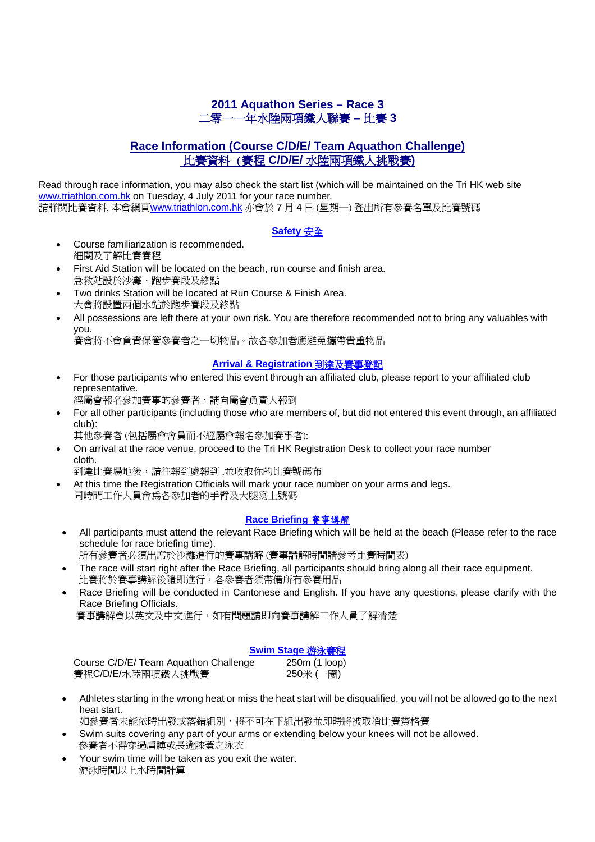# **2011 Aquathon Series – Race 3**  二零一一年水陸兩項鐵人聯賽 **–** 比賽 **3**

# **Race Information (Course C/D/E/ Team Aquathon Challenge)** 比賽資料 (賽程 **C/D/E/** 水陸兩項鐵人挑戰賽**)**

Read through race information, you may also check the start list (which will be maintained on the Tri HK web site www.triathlon.com.hk on Tuesday, 4 July 2011 for your race number. 請詳閱比賽資料, 本會網頁www.triathlon.com.hk 亦會於 7 月 4 日 (星期一) 登出所有參賽名單及比賽號碼

#### **Safety** 安全

- Course familiarization is recommended. 細閱及了解比賽賽程
- First Aid Station will be located on the beach, run course and finish area. 急救站設於沙灘、跑步賽段及終點
- Two drinks Station will be located at Run Course & Finish Area. 大會將設置兩個水站於跑步賽段及終點
- All possessions are left there at your own risk. You are therefore recommended not to bring any valuables with you.

賽會將不會負責保管參賽者之一切物品。故各參加者應避免攜帶貴重物品

#### **Arrival & Registration** 到達及賽事登記

• For those participants who entered this event through an affiliated club, please report to your affiliated club representative.

經屬會報名參加賽事的參賽者,請向屬會負責人報到

- For all other participants (including those who are members of, but did not entered this event through, an affiliated club):
	- 其他參賽者 (包括屬會會員而不經屬會報名參加賽事者):
- On arrival at the race venue, proceed to the Tri HK Registration Desk to collect your race number cloth.

到達比賽場地後,請往報到處報到 ,並收取你的比賽號碼布

• At this time the Registration Officials will mark your race number on your arms and legs. 同時間工作人員會為各參加者的手臂及大腿寫上號碼

## **Race Briefing** 賽事講解

• All participants must attend the relevant Race Briefing which will be held at the beach (Please refer to the race schedule for race briefing time).

所有參賽者必須出席於沙灘進行的賽事講解 (賽事講解時間請參考比賽時間表)

- The race will start right after the Race Briefing, all participants should bring along all their race equipment. 比賽將於賽事講解後隨即進行,各參賽者須帶備所有參賽用品
- Race Briefing will be conducted in Cantonese and English. If you have any questions, please clarify with the Race Briefing Officials.

賽事講解會以英文及中文進行,如有問題請即向賽事講解工作人員了解清楚

| Swim Stage 游泳賽程 |  |
|-----------------|--|
|-----------------|--|

| Course C/D/E/ Team Aquathon Challenge | 250m (1 loop) |
|---------------------------------------|---------------|
| 賽程C/D/E/水陸兩項鐵人挑戰賽                     | 250米 (一圈)     |

• Athletes starting in the wrong heat or miss the heat start will be disqualified, you will not be allowed go to the next heat start.

如參賽者未能依時出發或落錯組別,將不可在下組出發並即時將被取消比賽資格賽

- Swim suits covering any part of your arms or extending below your knees will not be allowed. 參賽者不得穿過肩膊或長逾膝蓋之泳衣
- Your swim time will be taken as you exit the water. 游泳時間以上水時間計算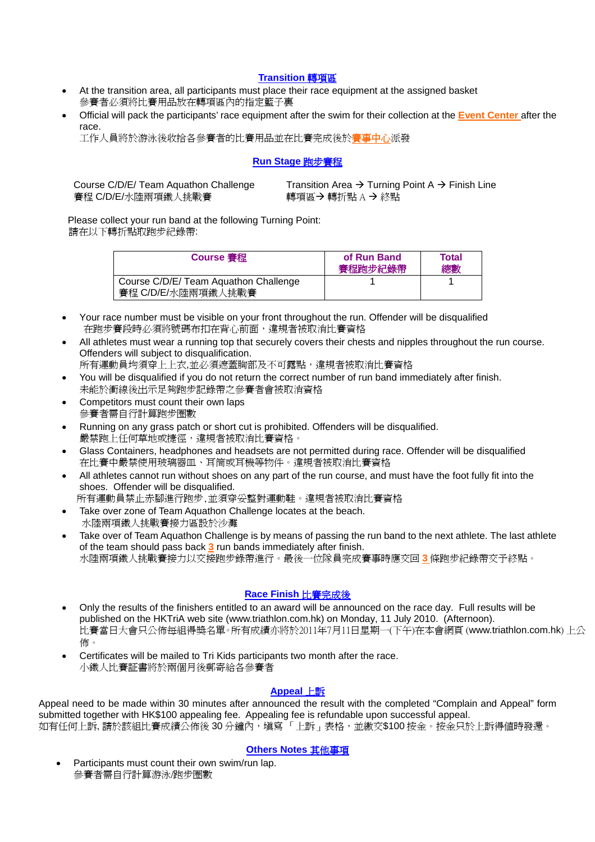#### **Transition** 轉項區

- At the transition area, all participants must place their race equipment at the assigned basket 參賽者必須將比賽用品放在轉項區內的指定籃子裏
- Official will pack the participants' race equipment after the swim for their collection at the **Event Center** after the race.

工作人員將於游泳後收拾各參賽者的比賽用品並在比賽完成後於賽事中心派發

#### **Run Stage** 跑步賽程

賽程 C/D/E/水陸兩項鐵人挑戰賽 インチング 轉項區→轉折點 A → 終點

Course C/D/E/ Team Aquathon Challenge Transition Area  $\rightarrow$  Turning Point A  $\rightarrow$  Finish Line

 Please collect your run band at the following Turning Point: 請在以下轉折點取跑步紀錄帶:

| <b>Course 審程</b>                                            | of Run Band<br>賽程跑步紀錄帶 | Total<br>總數 |
|-------------------------------------------------------------|------------------------|-------------|
| Course C/D/E/ Team Aquathon Challenge<br>賽程 C/D/E/水陸兩項鐵人挑戰賽 |                        |             |

- Your race number must be visible on your front throughout the run. Offender will be disqualified 在跑步賽段時必須將號碼布扣在背心前面,違規者被取消比賽資格
- All athletes must wear a running top that securely covers their chests and nipples throughout the run course. Offenders will subject to disqualification.

所有運動員均須穿上上衣,並必須遮蓋胸部及不可露點,違規者被取消比賽資格 • You will be disqualified if you do not return the correct number of run band immediately after finish.

- 未能於衝線後出示足夠跑步記錄帶之參賽者會被取消資格
- Competitors must count their own laps 參賽者需自行計算跑步圈數
- Running on any grass patch or short cut is prohibited. Offenders will be disqualified. 嚴禁跑上任何草地或捷徑,違規者被取消比賽資格。
- Glass Containers, headphones and headsets are not permitted during race. Offender will be disqualified 在比賽中嚴禁使用玻璃器皿、耳筒或耳機等物件。違規者被取消比賽資格
- All athletes cannot run without shoes on any part of the run course, and must have the foot fully fit into the shoes. Offender will be disqualified.

所有運動員禁止赤腳進行跑步,並須穿妥整對運動鞋。違規者被取消比賽資格

- Take over zone of Team Aquathon Challenge locates at the beach. 水陸兩項鐵人挑戰賽接力區設於沙灘
- Take over of Team Aquathon Challenge is by means of passing the run band to the next athlete. The last athlete of the team should pass back **3** run bands immediately after finish. 水陸兩項鐵人挑戰賽接力以交接跑步錄帶進行。最後一位隊員完成賽事時應交回 **3** 條跑步紀錄帶交予終點。

## **Race Finish** 比賽完成後

- Only the results of the finishers entitled to an award will be announced on the race day. Full results will be published on the HKTriA web site (www.triathlon.com.hk) on Monday, 11 July 2010. (Afternoon). 比賽當日大會只公佈每組得獎名單。所有成績亦將於2011年7月11日星期一(下午)在本會網頁 (www.triathlon.com.hk) 上公 佈。
- Certificates will be mailed to Tri Kids participants two month after the race. 小鐵人比賽証書將於兩個月後郵寄給各參賽者

#### **Appeal** 上訴

Appeal need to be made within 30 minutes after announced the result with the completed "Complain and Appeal" form submitted together with HK\$100 appealing fee. Appealing fee is refundable upon successful appeal. 如有任何上訴,請於該組比賽成績公佈後 30 分鐘內,填寫「上訴」表格,並繳交\$100 按金。按金只於上訴得值時發還。

#### **Others Notes** 其他事項

Participants must count their own swim/run lap. 參賽者需自行計算游泳/跑步圈數